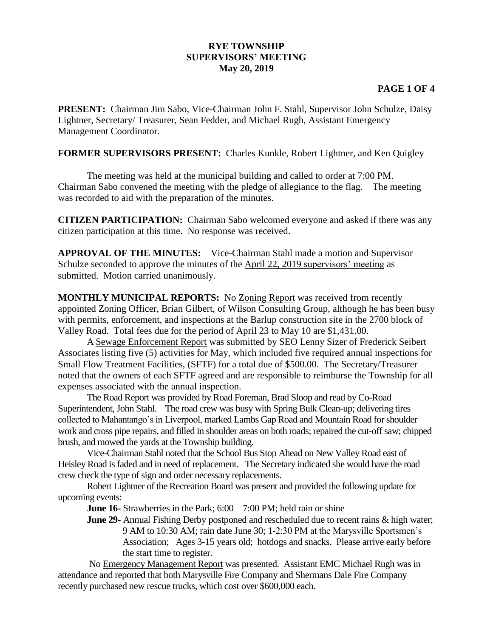## **RYE TOWNSHIP SUPERVISORS' MEETING May 20, 2019**

## **PAGE 1 OF 4**

**PRESENT:** Chairman Jim Sabo, Vice-Chairman John F. Stahl, Supervisor John Schulze, Daisy Lightner, Secretary/ Treasurer, Sean Fedder, and Michael Rugh, Assistant Emergency Management Coordinator.

**FORMER SUPERVISORS PRESENT:** Charles Kunkle, Robert Lightner, and Ken Quigley

The meeting was held at the municipal building and called to order at 7:00 PM. Chairman Sabo convened the meeting with the pledge of allegiance to the flag. The meeting was recorded to aid with the preparation of the minutes.

**CITIZEN PARTICIPATION:** Chairman Sabo welcomed everyone and asked if there was any citizen participation at this time. No response was received.

**APPROVAL OF THE MINUTES:** Vice-Chairman Stahl made a motion and Supervisor Schulze seconded to approve the minutes of the April 22, 2019 supervisors' meeting as submitted. Motion carried unanimously.

**MONTHLY MUNICIPAL REPORTS:** No Zoning Report was received from recently appointed Zoning Officer, Brian Gilbert, of Wilson Consulting Group, although he has been busy with permits, enforcement, and inspections at the Barlup construction site in the 2700 block of Valley Road. Total fees due for the period of April 23 to May 10 are \$1,431.00.

A Sewage Enforcement Report was submitted by SEO Lenny Sizer of Frederick Seibert Associates listing five (5) activities for May, which included five required annual inspections for Small Flow Treatment Facilities, (SFTF) for a total due of \$500.00. The Secretary/Treasurer noted that the owners of each SFTF agreed and are responsible to reimburse the Township for all expenses associated with the annual inspection.

The Road Report was provided by Road Foreman, Brad Sloop and read by Co-Road Superintendent, John Stahl. The road crew was busy with Spring Bulk Clean-up; delivering tires collected to Mahantango's in Liverpool, marked Lambs Gap Road and Mountain Road for shoulder work and cross pipe repairs, and filled in shoulder areas on both roads; repaired the cut-off saw; chipped brush, and mowed the yards at the Township building.

Vice-Chairman Stahl noted that the School Bus Stop Ahead on New Valley Road east of Heisley Road is faded and in need of replacement. The Secretary indicated she would have the road crew check the type of sign and order necessary replacements.

Robert Lightner of the Recreation Board was present and provided the following update for upcoming events:

**June 16-** Strawberries in the Park;  $6:00 - 7:00$  PM; held rain or shine

**June 29-** Annual Fishing Derby postponed and rescheduled due to recent rains & high water; 9 AM to 10:30 AM; rain date June 30; 1-2:30 PM at the Marysville Sportsmen's Association; Ages 3-15 years old; hotdogs and snacks. Please arrive early before the start time to register.

No Emergency Management Report was presented. Assistant EMC Michael Rugh was in attendance and reported that both Marysville Fire Company and Shermans Dale Fire Company recently purchased new rescue trucks, which cost over \$600,000 each.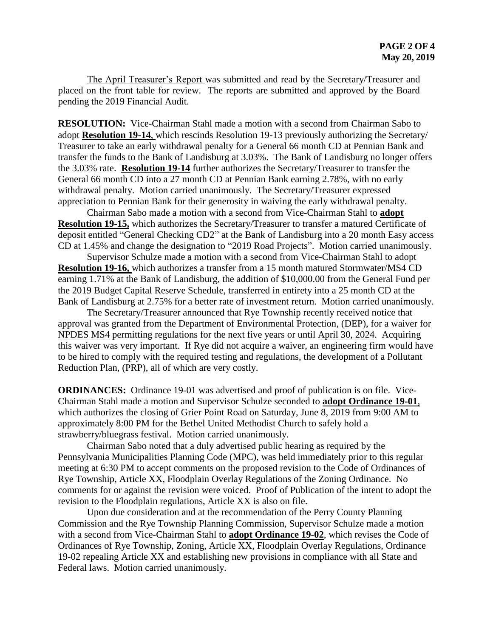The April Treasurer's Report was submitted and read by the Secretary/Treasurer and placed on the front table for review. The reports are submitted and approved by the Board pending the 2019 Financial Audit.

**RESOLUTION:** Vice-Chairman Stahl made a motion with a second from Chairman Sabo to adopt **Resolution 19-14**, which rescinds Resolution 19-13 previously authorizing the Secretary/ Treasurer to take an early withdrawal penalty for a General 66 month CD at Pennian Bank and transfer the funds to the Bank of Landisburg at 3.03%. The Bank of Landisburg no longer offers the 3.03% rate. **Resolution 19-14** further authorizes the Secretary/Treasurer to transfer the General 66 month CD into a 27 month CD at Pennian Bank earning 2.78%, with no early withdrawal penalty. Motion carried unanimously. The Secretary/Treasurer expressed appreciation to Pennian Bank for their generosity in waiving the early withdrawal penalty.

Chairman Sabo made a motion with a second from Vice-Chairman Stahl to **adopt Resolution 19-15,** which authorizes the Secretary/Treasurer to transfer a matured Certificate of deposit entitled "General Checking CD2" at the Bank of Landisburg into a 20 month Easy access CD at 1.45% and change the designation to "2019 Road Projects". Motion carried unanimously.

Supervisor Schulze made a motion with a second from Vice-Chairman Stahl to adopt **Resolution 19-16,** which authorizes a transfer from a 15 month matured Stormwater/MS4 CD earning 1.71% at the Bank of Landisburg, the addition of \$10,000.00 from the General Fund per the 2019 Budget Capital Reserve Schedule, transferred in entirety into a 25 month CD at the Bank of Landisburg at 2.75% for a better rate of investment return. Motion carried unanimously.

The Secretary/Treasurer announced that Rye Township recently received notice that approval was granted from the Department of Environmental Protection, (DEP), for a waiver for NPDES MS4 permitting regulations for the next five years or until April 30, 2024. Acquiring this waiver was very important. If Rye did not acquire a waiver, an engineering firm would have to be hired to comply with the required testing and regulations, the development of a Pollutant Reduction Plan, (PRP), all of which are very costly.

**ORDINANCES:** Ordinance 19-01 was advertised and proof of publication is on file. Vice-Chairman Stahl made a motion and Supervisor Schulze seconded to **adopt Ordinance 19-01**, which authorizes the closing of Grier Point Road on Saturday, June 8, 2019 from 9:00 AM to approximately 8:00 PM for the Bethel United Methodist Church to safely hold a strawberry/bluegrass festival. Motion carried unanimously.

Chairman Sabo noted that a duly advertised public hearing as required by the Pennsylvania Municipalities Planning Code (MPC), was held immediately prior to this regular meeting at 6:30 PM to accept comments on the proposed revision to the Code of Ordinances of Rye Township, Article XX, Floodplain Overlay Regulations of the Zoning Ordinance. No comments for or against the revision were voiced. Proof of Publication of the intent to adopt the revision to the Floodplain regulations, Article XX is also on file.

Upon due consideration and at the recommendation of the Perry County Planning Commission and the Rye Township Planning Commission, Supervisor Schulze made a motion with a second from Vice-Chairman Stahl to **adopt Ordinance 19-02**, which revises the Code of Ordinances of Rye Township, Zoning, Article XX, Floodplain Overlay Regulations, Ordinance 19-02 repealing Article XX and establishing new provisions in compliance with all State and Federal laws. Motion carried unanimously.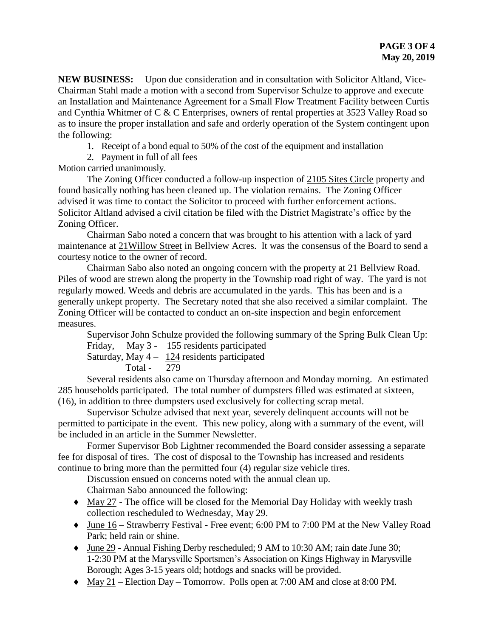**NEW BUSINESS:** Upon due consideration and in consultation with Solicitor Altland, Vice-Chairman Stahl made a motion with a second from Supervisor Schulze to approve and execute an Installation and Maintenance Agreement for a Small Flow Treatment Facility between Curtis and Cynthia Whitmer of C & C Enterprises, owners of rental properties at 3523 Valley Road so as to insure the proper installation and safe and orderly operation of the System contingent upon the following:

1. Receipt of a bond equal to 50% of the cost of the equipment and installation

2. Payment in full of all fees

Motion carried unanimously.

The Zoning Officer conducted a follow-up inspection of 2105 Sites Circle property and found basically nothing has been cleaned up. The violation remains. The Zoning Officer advised it was time to contact the Solicitor to proceed with further enforcement actions. Solicitor Altland advised a civil citation be filed with the District Magistrate's office by the Zoning Officer.

Chairman Sabo noted a concern that was brought to his attention with a lack of yard maintenance at 21Willow Street in Bellview Acres. It was the consensus of the Board to send a courtesy notice to the owner of record.

Chairman Sabo also noted an ongoing concern with the property at 21 Bellview Road. Piles of wood are strewn along the property in the Township road right of way. The yard is not regularly mowed. Weeds and debris are accumulated in the yards. This has been and is a generally unkept property. The Secretary noted that she also received a similar complaint. The Zoning Officer will be contacted to conduct an on-site inspection and begin enforcement measures.

Supervisor John Schulze provided the following summary of the Spring Bulk Clean Up:

Friday, May 3 - 155 residents participated Saturday, May  $4 - 124$  residents participated

Total - 279

Several residents also came on Thursday afternoon and Monday morning. An estimated 285 households participated. The total number of dumpsters filled was estimated at sixteen, (16), in addition to three dumpsters used exclusively for collecting scrap metal.

Supervisor Schulze advised that next year, severely delinquent accounts will not be permitted to participate in the event. This new policy, along with a summary of the event, will be included in an article in the Summer Newsletter.

Former Supervisor Bob Lightner recommended the Board consider assessing a separate fee for disposal of tires. The cost of disposal to the Township has increased and residents continue to bring more than the permitted four (4) regular size vehicle tires.

Discussion ensued on concerns noted with the annual clean up. Chairman Sabo announced the following:

- May 27 The office will be closed for the Memorial Day Holiday with weekly trash collection rescheduled to Wednesday, May 29.
- June 16 Strawberry Festival Free event; 6:00 PM to 7:00 PM at the New Valley Road Park; held rain or shine.
- June 29 Annual Fishing Derby rescheduled; 9 AM to 10:30 AM; rain date June 30; 1-2:30 PM at the Marysville Sportsmen's Association on Kings Highway in Marysville Borough; Ages 3-15 years old; hotdogs and snacks will be provided.
- May 21 Election Day Tomorrow. Polls open at 7:00 AM and close at 8:00 PM.